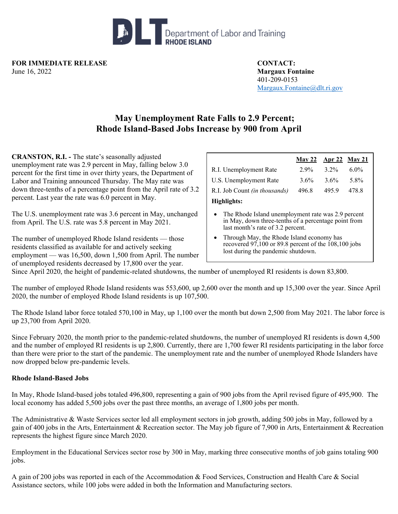

**FOR IMMEDIATE RELEASE CONTACT:**  June 16, 2022 **Margaux Fontaine** 

401-209-0153 Margaux.Fontaine@dlt.ri.gov

## **May Unemployment Rate Falls to 2.9 Percent; Rhode Island-Based Jobs Increase by 900 from April**

**CRANSTON, R.I. -** The state's seasonally adjusted unemployment rate was 2.9 percent in May, falling below 3.0 percent for the first time in over thirty years, the Department of Labor and Training announced Thursday. The May rate was down three-tenths of a percentage point from the April rate of 3.2 percent. Last year the rate was 6.0 percent in May.

The U.S. unemployment rate was 3.6 percent in May, unchanged from April. The U.S. rate was 5.8 percent in May 2021.

The number of unemployed Rhode Island residents — those residents classified as available for and actively seeking employment — was 16,500, down 1,500 from April. The number of unemployed residents decreased by 17,800 over the year.

|                               | <u>May 22 Apr 22 May 21</u> |         |         |
|-------------------------------|-----------------------------|---------|---------|
| R.I. Unemployment Rate        | $2.9\%$                     | $3.2\%$ | $6.0\%$ |
| U.S. Unemployment Rate        | $3.6\%$                     | $3.6\%$ | 5.8%    |
| R.I. Job Count (in thousands) | 496.8                       | 495.9   | 478.8   |
| Highlights:                   |                             |         |         |
|                               |                             |         |         |

- The Rhode Island unemployment rate was 2.9 percent in May, down three-tenths of a percentage point from last month's rate of 3.2 percent.
- Through May, the Rhode Island economy has recovered 97,100 or 89.8 percent of the 108,100 jobs lost during the pandemic shutdown.

Since April 2020, the height of pandemic-related shutdowns, the number of unemployed RI residents is down 83,800.

The number of employed Rhode Island residents was 553,600, up 2,600 over the month and up 15,300 over the year. Since April 2020, the number of employed Rhode Island residents is up 107,500.

The Rhode Island labor force totaled 570,100 in May, up 1,100 over the month but down 2,500 from May 2021. The labor force is up 23,700 from April 2020.

Since February 2020, the month prior to the pandemic-related shutdowns, the number of unemployed RI residents is down 4,500 and the number of employed RI residents is up 2,800. Currently, there are 1,700 fewer RI residents participating in the labor force than there were prior to the start of the pandemic. The unemployment rate and the number of unemployed Rhode Islanders have now dropped below pre-pandemic levels.

## **Rhode Island-Based Jobs**

In May, Rhode Island-based jobs totaled 496,800, representing a gain of 900 jobs from the April revised figure of 495,900. The local economy has added 5,500 jobs over the past three months, an average of 1,800 jobs per month.

The Administrative & Waste Services sector led all employment sectors in job growth, adding 500 jobs in May, followed by a gain of 400 jobs in the Arts, Entertainment & Recreation sector. The May job figure of 7,900 in Arts, Entertainment & Recreation represents the highest figure since March 2020.

Employment in the Educational Services sector rose by 300 in May, marking three consecutive months of job gains totaling 900 jobs.

A gain of 200 jobs was reported in each of the Accommodation & Food Services, Construction and Health Care & Social Assistance sectors, while 100 jobs were added in both the Information and Manufacturing sectors.